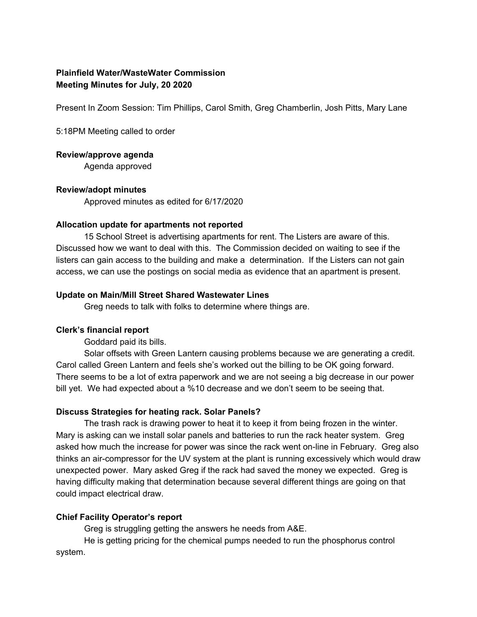# **Plainfield Water/WasteWater Commission Meeting Minutes for July, 20 2020**

Present In Zoom Session: Tim Phillips, Carol Smith, Greg Chamberlin, Josh Pitts, Mary Lane

5:18PM Meeting called to order

### **Review/approve agenda**

Agenda approved

### **Review/adopt minutes**

Approved minutes as edited for 6/17/2020

### **Allocation update for apartments not reported**

15 School Street is advertising apartments for rent. The Listers are aware of this. Discussed how we want to deal with this. The Commission decided on waiting to see if the listers can gain access to the building and make a determination. If the Listers can not gain access, we can use the postings on social media as evidence that an apartment is present.

### **Update on Main/Mill Street Shared Wastewater Lines**

Greg needs to talk with folks to determine where things are.

### **Clerk's financial report**

Goddard paid its bills.

Solar offsets with Green Lantern causing problems because we are generating a credit. Carol called Green Lantern and feels she's worked out the billing to be OK going forward. There seems to be a lot of extra paperwork and we are not seeing a big decrease in our power bill yet. We had expected about a %10 decrease and we don't seem to be seeing that.

### **Discuss Strategies for heating rack. Solar Panels?**

The trash rack is drawing power to heat it to keep it from being frozen in the winter. Mary is asking can we install solar panels and batteries to run the rack heater system. Greg asked how much the increase for power was since the rack went on-line in February. Greg also thinks an air-compressor for the UV system at the plant is running excessively which would draw unexpected power. Mary asked Greg if the rack had saved the money we expected. Greg is having difficulty making that determination because several different things are going on that could impact electrical draw.

## **Chief Facility Operator's report**

Greg is struggling getting the answers he needs from A&E.

He is getting pricing for the chemical pumps needed to run the phosphorus control system.